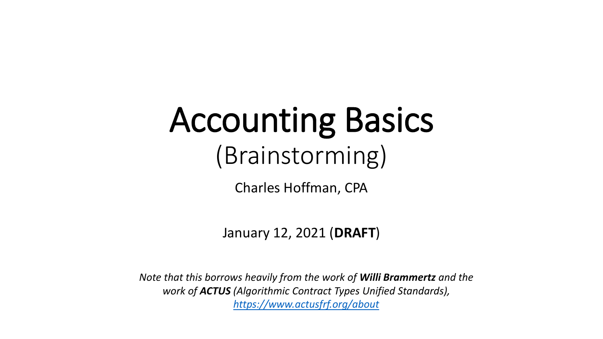# Accounting Basics (Brainstorming)

Charles Hoffman, CPA

#### January 12, 2021 (**DRAFT**)

*Note that this borrows heavily from the work of Willi Brammertz and the work of ACTUS (Algorithmic Contract Types Unified Standards), <https://www.actusfrf.org/about>*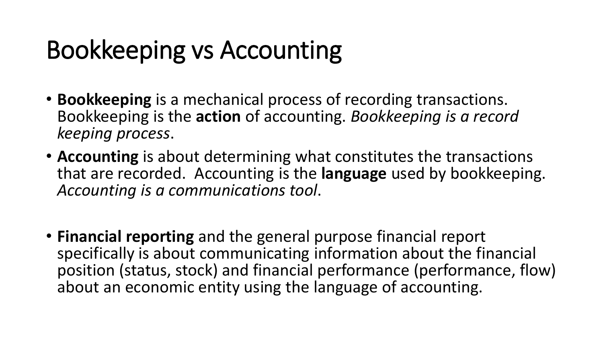#### Bookkeeping vs Accounting

- **Bookkeeping** is a mechanical process of recording transactions. Bookkeeping is the **action** of accounting. *Bookkeeping is a record keeping process*.
- **Accounting** is about determining what constitutes the transactions that are recorded. Accounting is the **language** used by bookkeeping. *Accounting is a communications tool*.
- **Financial reporting** and the general purpose financial report specifically is about communicating information about the financial position (status, stock) and financial performance (performance, flow) about an economic entity using the language of accounting.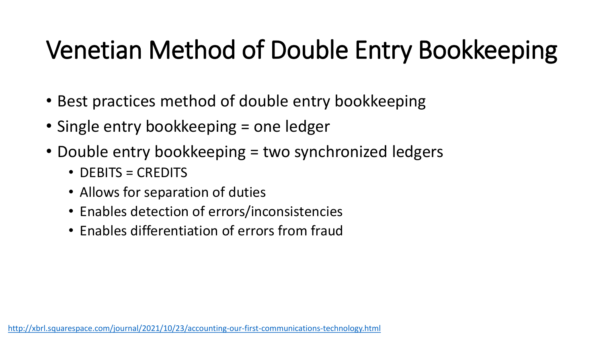### Venetian Method of Double Entry Bookkeeping

- Best practices method of double entry bookkeeping
- Single entry bookkeeping = one ledger
- Double entry bookkeeping = two synchronized ledgers
	- DEBITS = CREDITS
	- Allows for separation of duties
	- Enables detection of errors/inconsistencies
	- Enables differentiation of errors from fraud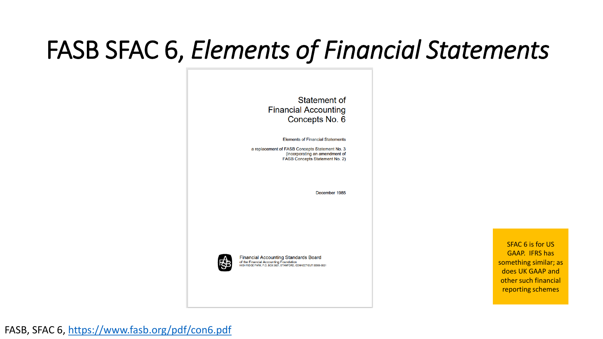#### FASB SFAC 6, *Elements of Financial Statements*



SFAC 6 is for US GAAP. IFRS has something similar; as does UK GAAP and other such financial reporting schemes

FASB, SFAC 6,<https://www.fasb.org/pdf/con6.pdf>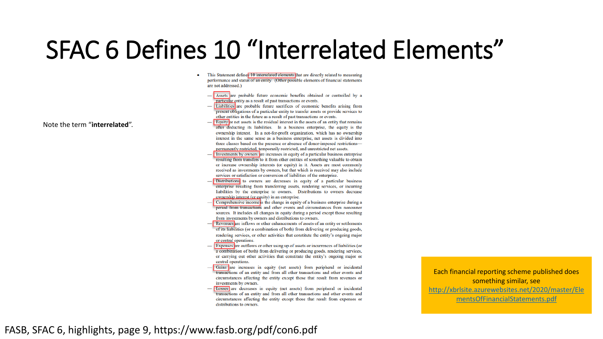#### SFAC 6 Defines 10 "Interrelated Elements"

- $\bullet$ This Statement defines 10 interrelated elements that are directly related to measuring performance and status of an entity. (Other possible elements of financial statements are not addressed.)
	- Assets are probable future economic benefits obtained or controlled by a particular entity as a result of past transactions or events.
	- Liabilities are probable future sacrifices of economic benefits arising from present obligations of a particular entity to transfer assets or provide services to other entities in the future as a result of past transactions or events.
	- Equity or net assets is the residual interest in the assets of an entity that remains after deducting its liabilities. In a business enterprise, the equity is the ownership interest. In a not-for-profit organization, which has no ownership interest in the same sense as a business enterprise, net assets is divided into three classes based on the presence or absence of donor-imposed restrictionspermanently restricted, temporarily restricted, and unrestricted net assets.
	- Investments by owners are increases in equity of a particular business enterprise resulting from transfers to it from other entities of something valuable to obtain or increase ownership interests (or equity) in it. Assets are most commonly received as investments by owners, but that which is received may also include services or satisfaction or conversion of liabilities of the enterprise.
	- Distributions to owners are decreases in equity of a particular business enterprise resulting from transferring assets, rendering services, or incurring liabilities by the enterprise to owners. Distributions to owners decrease ownership interest (or equity) in an enterprise.
	- Comprehensive income is the change in equity of a business enterprise during a period from transactions and other events and circumstances from nonowner sources. It includes all changes in equity during a period except those resulting from investments by owners and distributions to owners.
	- Revenues are inflows or other enhancements of assets of an entity or settlements of its liabilities (or a combination of both) from delivering or producing goods, rendering services, or other activities that constitute the entity's ongoing major or central operations.
	- Expenses are outflows or other using up of assets or incurrences of liabilities (or a combination of both) from delivering or producing goods, rendering services, or carrying out other activities that constitute the entity's ongoing major or central operations.
	- Gains are increases in equity (net assets) from peripheral or incidental transactions of an entity and from all other transactions and other events and circumstances affecting the entity except those that result from revenues or investments by owners.
	- Losses are decreases in equity (net assets) from peripheral or incidental transactions of an entity and from all other transactions and other events and circumstances affecting the entity except those that result from expenses or distributions to owners.

Each financial reporting scheme published does something similar, see [http://xbrlsite.azurewebsites.net/2020/master/Ele](http://xbrlsite.azurewebsites.net/2020/master/ElementsOfFinancialStatements.pdf) mentsOfFinancialStatements.pdf

#### Note the term "**interrelated**".

FASB, SFAC 6, highlights, page 9, https://www.fasb.org/pdf/con6.pdf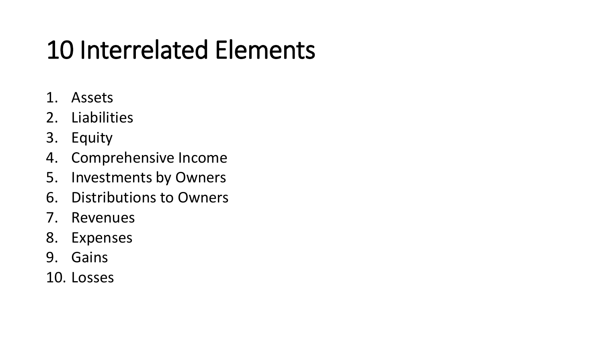#### 10 Interrelated Elements

- 1. Assets
- 2. Liabilities
- 3. Equity
- 4. Comprehensive Income
- 5. Investments by Owners
- 6. Distributions to Owners
- 7. Revenues
- 8. Expenses
- 9. Gains
- 10. Losses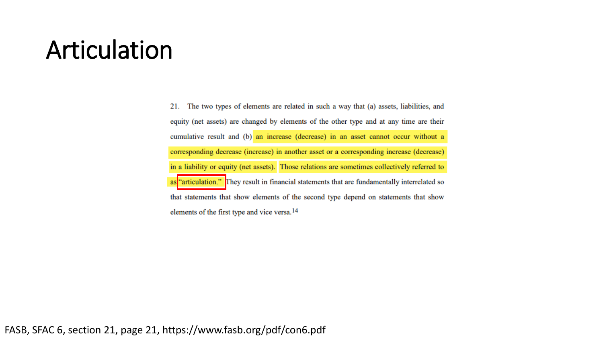#### Articulation

21. The two types of elements are related in such a way that (a) assets, liabilities, and equity (net assets) are changed by elements of the other type and at any time are their cumulative result and (b) an increase (decrease) in an asset cannot occur without a corresponding decrease (increase) in another asset or a corresponding increase (decrease) in a liability or equity (net assets). Those relations are sometimes collectively referred to as "articulation." They result in financial statements that are fundamentally interrelated so that statements that show elements of the second type depend on statements that show elements of the first type and vice versa.<sup>14</sup>

FASB, SFAC 6, section 21, page 21, https://www.fasb.org/pdf/con6.pdf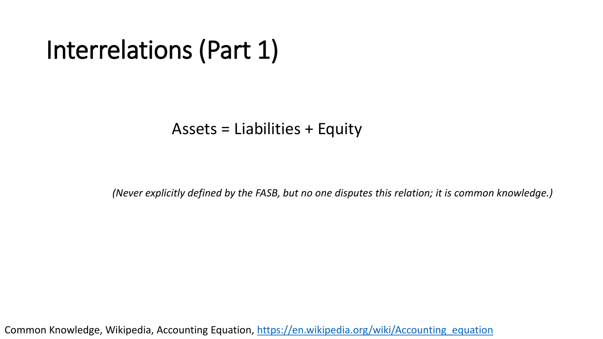#### Interrelations (Part 1)

#### Assets = Liabilities + Equity

*(Never explicitly defined by the FASB, but no one disputes this relation; it is common knowledge.)*

Common Knowledge, Wikipedia, Accounting Equation, [https://en.wikipedia.org/wiki/Accounting\\_equation](https://en.wikipedia.org/wiki/Accounting_equation)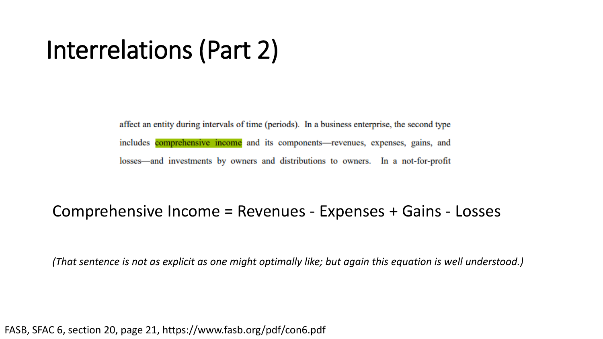#### Interrelations (Part 2)

affect an entity during intervals of time (periods). In a business enterprise, the second type includes comprehensive income and its components—revenues, expenses, gains, and losses—and investments by owners and distributions to owners. In a not-for-profit

#### Comprehensive Income = Revenues - Expenses + Gains - Losses

*(That sentence is not as explicit as one might optimally like; but again this equation is well understood.)*

FASB, SFAC 6, section 20, page 21, https://www.fasb.org/pdf/con6.pdf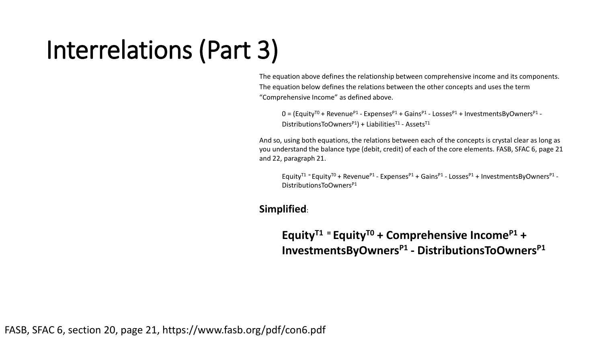### Interrelations (Part 3)

The equation above defines the relationship between comprehensive income and its components. The equation below defines the relations between the other concepts and uses the term "Comprehensive Income" as defined above.

```
0 = (Equity<sup>T0</sup> + Revenue<sup>P1</sup> - Expenses<sup>P1</sup> + Gains<sup>P1</sup> - Losses<sup>P1</sup> + InvestmentsByOwners<sup>P1</sup> -
DistributionsToOwnersP1) + Liabilities<sup>T1</sup> - Assets<sup>T1</sup>
```
And so, using both equations, the relations between each of the concepts is crystal clear as long as you understand the balance type (debit, credit) of each of the core elements. FASB, SFAC 6, page 21 and 22, paragraph 21.

Equity<sup>T1 =</sup> Equity<sup>T0</sup> + Revenue<sup>p1</sup> - Expenses<sup>p1</sup> + Gains<sup>p1</sup> - Losses<sup>p1</sup> + InvestmentsByOwners<sup>p1</sup> -DistributionsToOwners<sup>P1</sup>

#### **Simplified**:

**EquityT1 = EquityT0 + Comprehensive IncomeP1 + InvestmentsByOwnersP1 - DistributionsToOwnersP1**

FASB, SFAC 6, section 20, page 21, https://www.fasb.org/pdf/con6.pdf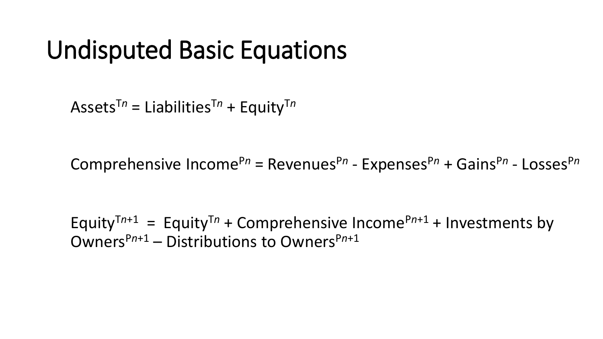#### Undisputed Basic Equations

Assets<sup>Tn</sup> = Liabilities<sup>Tn</sup> + Equity<sup>Tn</sup>

Comprehensive Income<sup>Pn</sup> = Revenues<sup>Pn</sup> - Expenses<sup>Pn</sup> + Gains<sup>Pn</sup> - Losses<sup>Pn</sup>

Equity<sup>Tn+1</sup> = Equity<sup>Tn</sup> + Comprehensive Income<sup>Pn+1</sup> + Investments by Owners<sup>P</sup>*n*+1 – Distributions to Owners<sup>P</sup>*n*+1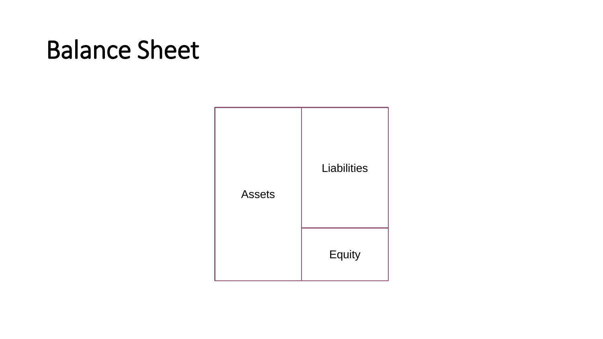#### Balance Sheet

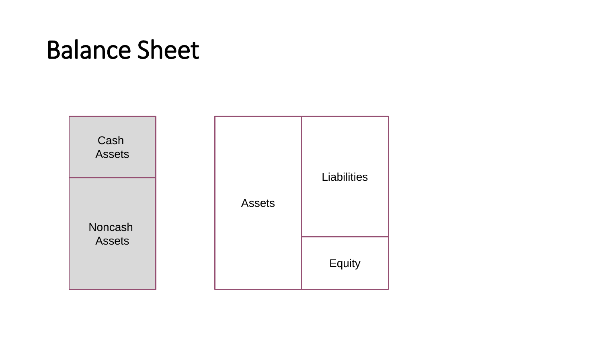#### Balance Sheet

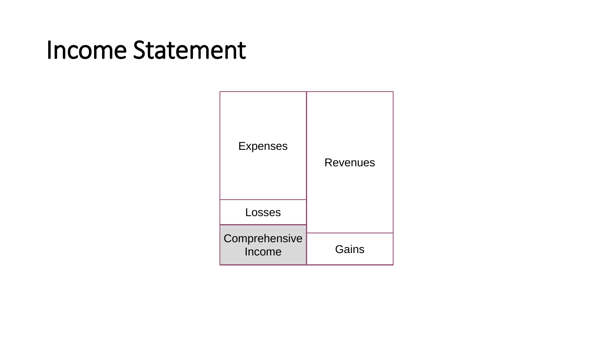#### Income Statement

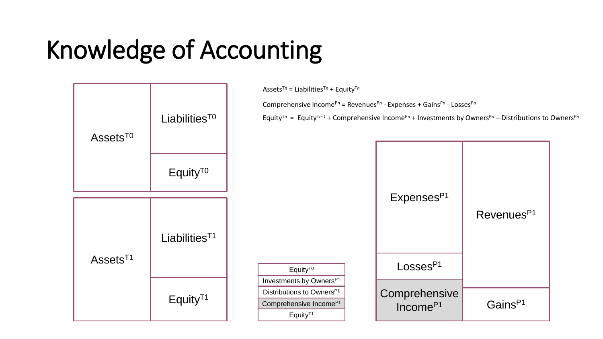### Knowledge of Accounting



Assets<sup>T</sup>*<sup>n</sup>* = Liabilities<sup>T</sup>*<sup>n</sup>* + Equity<sup>T</sup>*<sup>n</sup>*

Comprehensive Income<sup>P</sup>*<sup>n</sup>* = Revenues<sup>P</sup>*<sup>n</sup>* - Expenses + Gains<sup>P</sup>*<sup>n</sup>* - Losses<sup>P</sup>*<sup>n</sup>*

Equity<sup>Tn</sup> = Equity<sup>Tn-1</sup> + Comprehensive Income<sup>Pn</sup> + Investments by Owners<sup>Pn</sup> – Distributions to Owners<sup>Pn</sup>

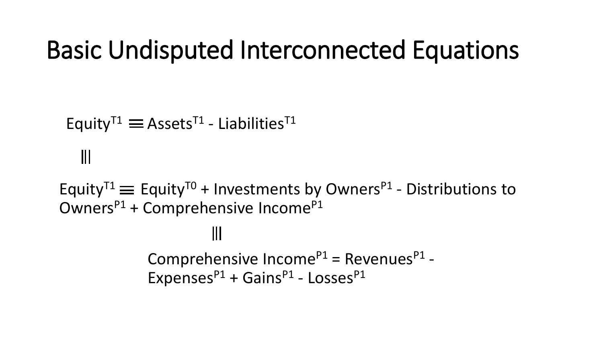#### Basic Undisputed Interconnected Equations

```
Equity<sup>T1</sup> \equiv Assets<sup>T1</sup> - Liabilities<sup>T1</sup>
     \mathop{\rm III}\nolimits
```

```
Equity<sup>T1</sup> \equiv Equity<sup>T0</sup> + Investments by Owners<sup>P1</sup> - Distributions to
OwnersP1 + Comprehensive Income<sup>P1</sup>
```

```
Ш
Comprehensive IncomeP<sup>1</sup> = Revenues<sup>P1</sup> -
Expenses<sup>P1</sup> + Gains<sup>P1</sup> - Losses<sup>P1</sup>
```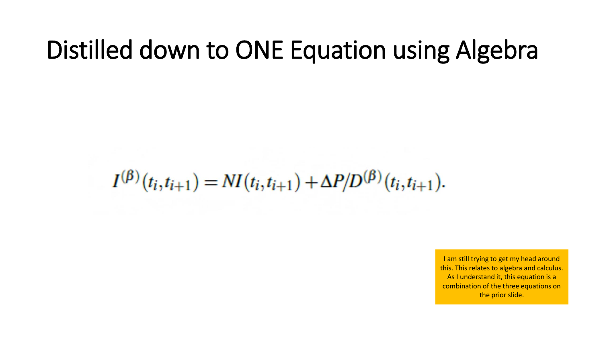#### Distilled down to ONE Equation using Algebra

#### $I^{(\beta)}(t_i,t_{i+1}) = NI(t_i,t_{i+1}) + \Delta P/D^{(\beta)}(t_i,t_{i+1}).$

I am still trying to get my head around this. This relates to algebra and calculus. As I understand it, this equation is a combination of the three equations on the prior slide.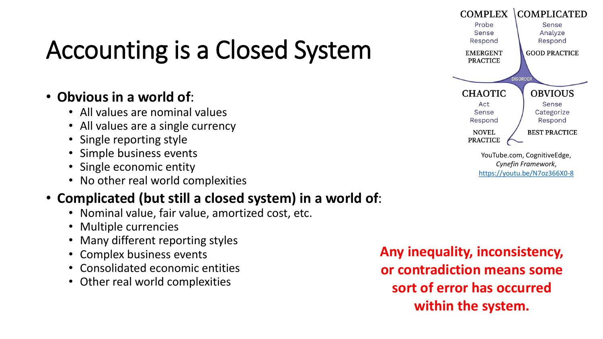# Accounting is a Closed System

#### • **Obvious in a world of**:

- All values are nominal values
- All values are a single currency
- Single reporting style
- Simple business events
- Single economic entity
- No other real world complexities

#### • **Complicated (but still a closed system) in a world of**:

- Nominal value, fair value, amortized cost, etc.
- Multiple currencies
- Many different reporting styles
- Complex business events
- Consolidated economic entities
- Other real world complexities

**Any inequality, inconsistency, or contradiction means some sort of error has occurred within the system.**

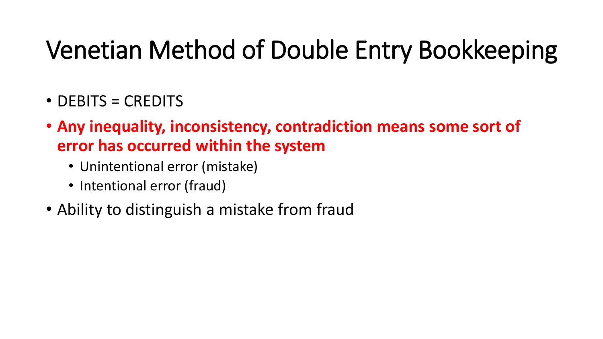#### Venetian Method of Double Entry Bookkeeping

- DEBITS = CREDITS
- **Any inequality, inconsistency, contradiction means some sort of error has occurred within the system**
	- Unintentional error (mistake)
	- Intentional error (fraud)
- Ability to distinguish a mistake from fraud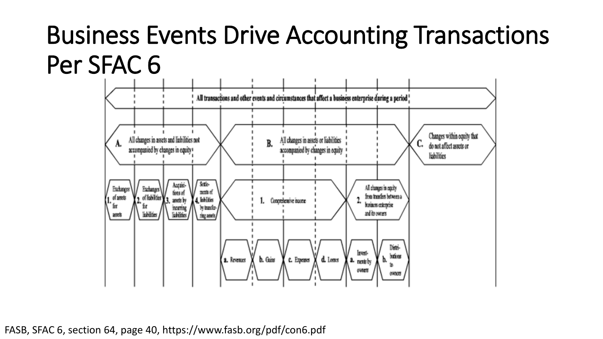### Business Events Drive Accounting Transactions Per SFAC 6



FASB, SFAC 6, section 64, page 40, https://www.fasb.org/pdf/con6.pdf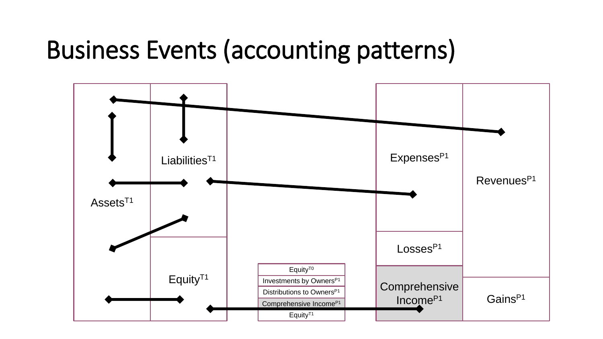#### Business Events (accounting patterns)

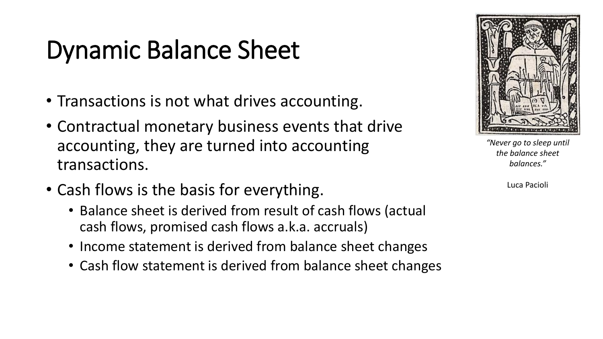#### Dynamic Balance Sheet

- Transactions is not what drives accounting.
- Contractual monetary business events that drive accounting, they are turned into accounting transactions.
- Cash flows is the basis for everything.
	- Balance sheet is derived from result of cash flows (actual cash flows, promised cash flows a.k.a. accruals)
	- Income statement is derived from balance sheet changes
	- Cash flow statement is derived from balance sheet changes



*"Never go to sleep until the balance sheet balances."* 

Luca Pacioli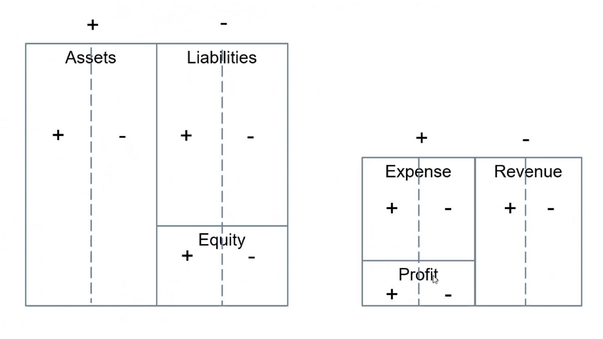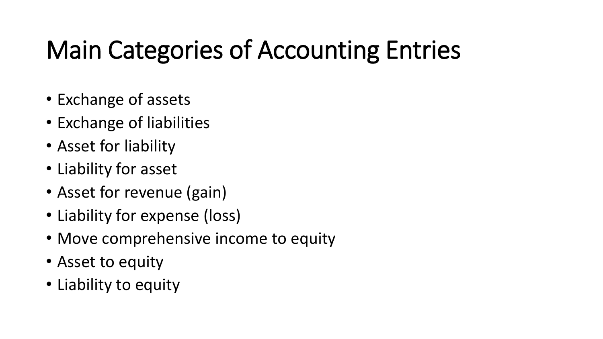# Main Categories of Accounting Entries

- Exchange of assets
- Exchange of liabilities
- Asset for liability
- Liability for asset
- Asset for revenue (gain)
- Liability for expense (loss)
- Move comprehensive income to equity
- Asset to equity
- Liability to equity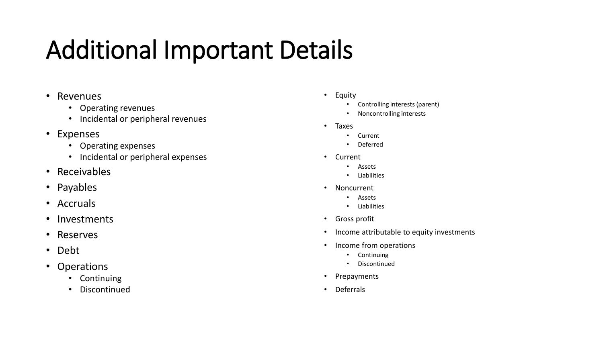### Additional Important Details

#### • Revenues

- Operating revenues
- Incidental or peripheral revenues
- Expenses
	- Operating expenses
	- Incidental or peripheral expenses
- Receivables
- Payables
- Accruals
- Investments
- Reserves
- Debt
- Operations
	- Continuing
	- Discontinued
- Equity
	- Controlling interests (parent)
	- Noncontrolling interests
- Taxes
	- Current
	- Deferred
- Current
	- Assets
	- Liabilities
- Noncurrent
	- Assets
	- Liabilities
- Gross profit
- Income attributable to equity investments
- Income from operations
	- Continuing
	- **Discontinued**
- Prepayments
- Deferrals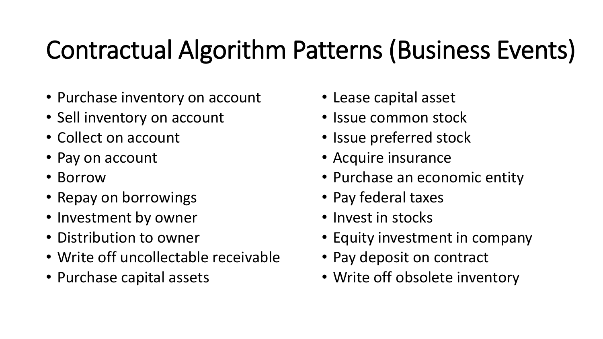### Contractual Algorithm Patterns (Business Events)

- Purchase inventory on account
- Sell inventory on account
- Collect on account
- Pay on account
- Borrow
- Repay on borrowings
- Investment by owner
- Distribution to owner
- Write off uncollectable receivable
- Purchase capital assets
- Lease capital asset
- Issue common stock
- Issue preferred stock
- Acquire insurance
- Purchase an economic entity
- Pay federal taxes
- Invest in stocks
- Equity investment in company
- Pay deposit on contract
- Write off obsolete inventory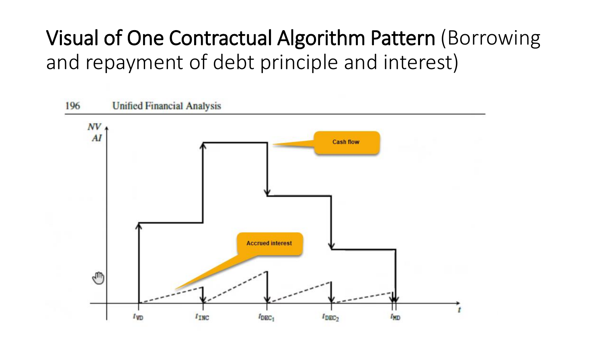Visual of One Contractual Algorithm Pattern (Borrowing and repayment of debt principle and interest)

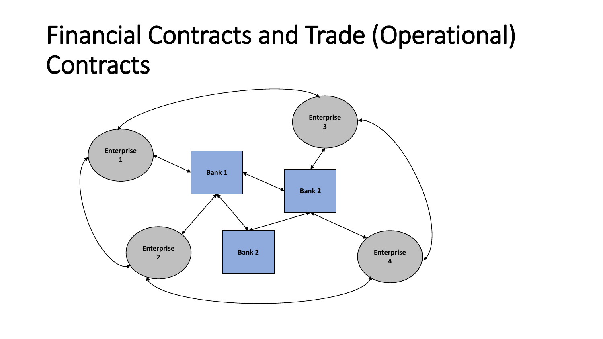#### Financial Contracts and Trade (Operational) **Contracts**